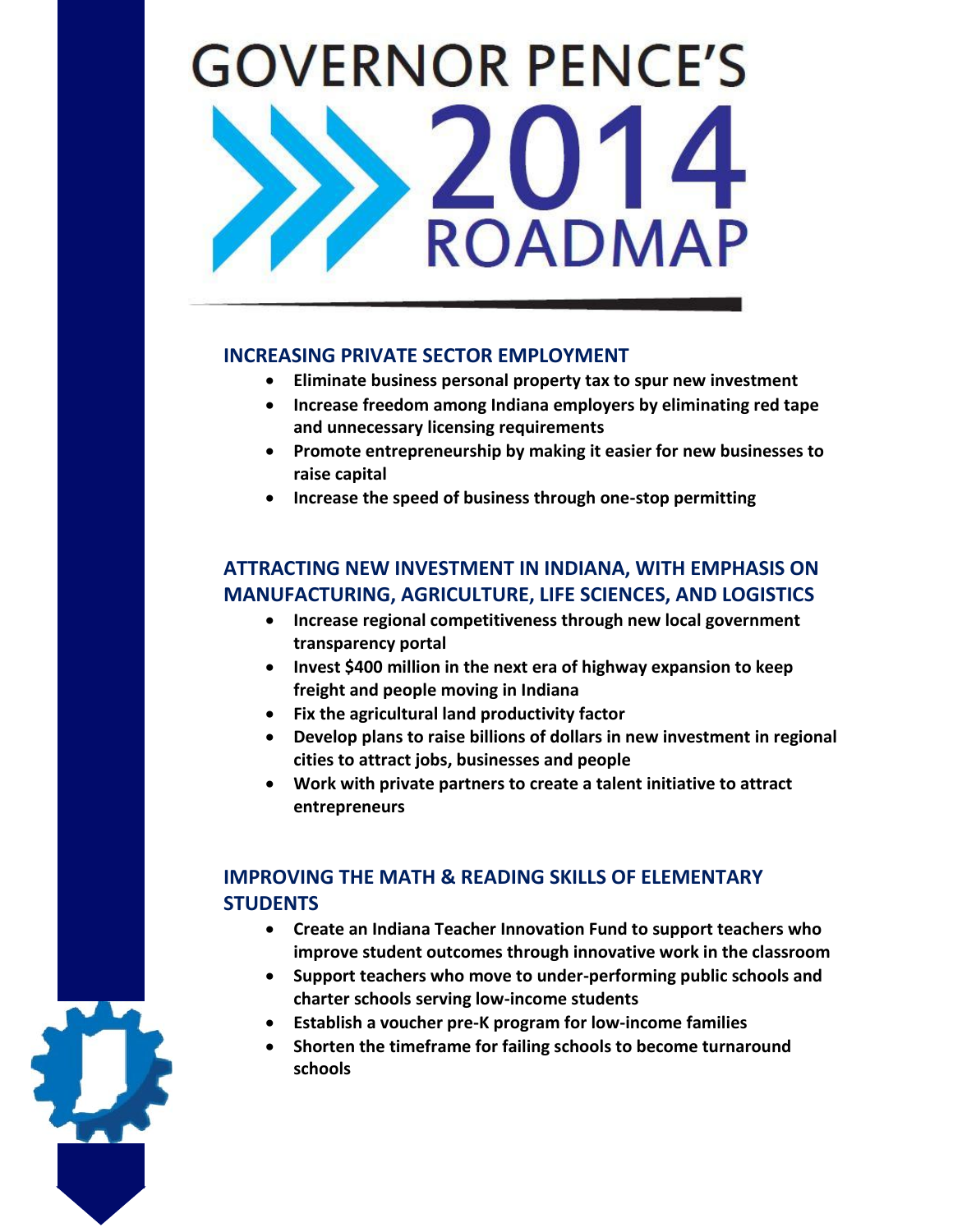# **GOVERNOR PENCE'S OADMAP**

### **INCREASING PRIVATE SECTOR EMPLOYMENT**

- **Eliminate business personal property tax to spur new investment**
- **Increase freedom among Indiana employers by eliminating red tape and unnecessary licensing requirements**
- **Promote entrepreneurship by making it easier for new businesses to raise capital**
- **Increase the speed of business through one-stop permitting**

## **ATTRACTING NEW INVESTMENT IN INDIANA, WITH EMPHASIS ON MANUFACTURING, AGRICULTURE, LIFE SCIENCES, AND LOGISTICS**

- **Increase regional competitiveness through new local government transparency portal**
- **Invest \$400 million in the next era of highway expansion to keep freight and people moving in Indiana**
- **Fix the agricultural land productivity factor**
- **Develop plans to raise billions of dollars in new investment in regional cities to attract jobs, businesses and people**
- **Work with private partners to create a talent initiative to attract entrepreneurs**

# **IMPROVING THE MATH & READING SKILLS OF ELEMENTARY STUDENTS**

- **Create an Indiana Teacher Innovation Fund to support teachers who improve student outcomes through innovative work in the classroom**
- **Support teachers who move to under-performing public schools and charter schools serving low-income students**
- **Establish a voucher pre-K program for low-income families**
- **Shorten the timeframe for failing schools to become turnaround schools**